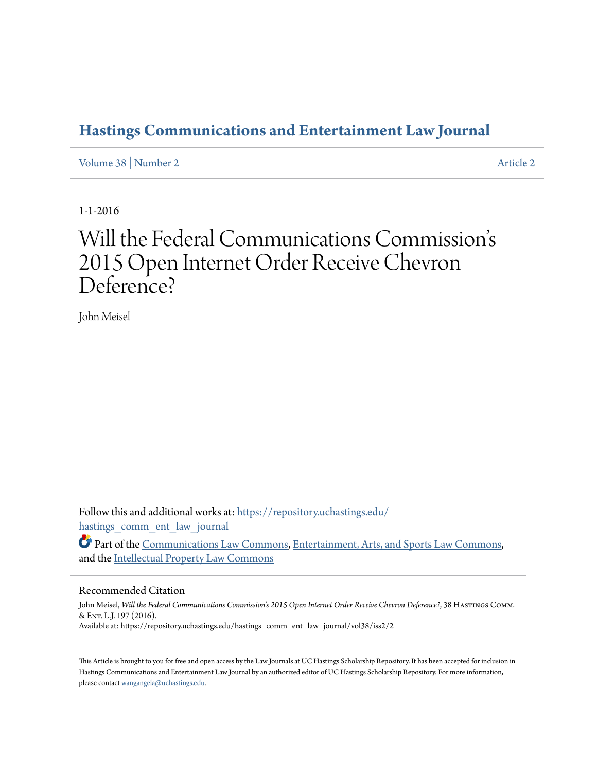## **[Hastings Communications and Entertainment Law Journal](https://repository.uchastings.edu/hastings_comm_ent_law_journal?utm_source=repository.uchastings.edu%2Fhastings_comm_ent_law_journal%2Fvol38%2Fiss2%2F2&utm_medium=PDF&utm_campaign=PDFCoverPages)**

[Volume 38](https://repository.uchastings.edu/hastings_comm_ent_law_journal/vol38?utm_source=repository.uchastings.edu%2Fhastings_comm_ent_law_journal%2Fvol38%2Fiss2%2F2&utm_medium=PDF&utm_campaign=PDFCoverPages) | [Number 2](https://repository.uchastings.edu/hastings_comm_ent_law_journal/vol38/iss2?utm_source=repository.uchastings.edu%2Fhastings_comm_ent_law_journal%2Fvol38%2Fiss2%2F2&utm_medium=PDF&utm_campaign=PDFCoverPages) [Article 2](https://repository.uchastings.edu/hastings_comm_ent_law_journal/vol38/iss2/2?utm_source=repository.uchastings.edu%2Fhastings_comm_ent_law_journal%2Fvol38%2Fiss2%2F2&utm_medium=PDF&utm_campaign=PDFCoverPages)

1-1-2016

# Will the Federal Communications Commission' s 2015 Open Internet Order Receive Chevron Deference?

John Meisel

Follow this and additional works at: [https://repository.uchastings.edu/](https://repository.uchastings.edu/hastings_comm_ent_law_journal?utm_source=repository.uchastings.edu%2Fhastings_comm_ent_law_journal%2Fvol38%2Fiss2%2F2&utm_medium=PDF&utm_campaign=PDFCoverPages) [hastings\\_comm\\_ent\\_law\\_journal](https://repository.uchastings.edu/hastings_comm_ent_law_journal?utm_source=repository.uchastings.edu%2Fhastings_comm_ent_law_journal%2Fvol38%2Fiss2%2F2&utm_medium=PDF&utm_campaign=PDFCoverPages)

Part of the [Communications Law Commons,](http://network.bepress.com/hgg/discipline/587?utm_source=repository.uchastings.edu%2Fhastings_comm_ent_law_journal%2Fvol38%2Fiss2%2F2&utm_medium=PDF&utm_campaign=PDFCoverPages) [Entertainment, Arts, and Sports Law Commons,](http://network.bepress.com/hgg/discipline/893?utm_source=repository.uchastings.edu%2Fhastings_comm_ent_law_journal%2Fvol38%2Fiss2%2F2&utm_medium=PDF&utm_campaign=PDFCoverPages) and the [Intellectual Property Law Commons](http://network.bepress.com/hgg/discipline/896?utm_source=repository.uchastings.edu%2Fhastings_comm_ent_law_journal%2Fvol38%2Fiss2%2F2&utm_medium=PDF&utm_campaign=PDFCoverPages)

### Recommended Citation

John Meisel, *Will the Federal Communications Commission's 2015 Open Internet Order Receive Chevron Deference?*, 38 Hastings Comm. & Ent. L.J. 197 (2016). Available at: https://repository.uchastings.edu/hastings\_comm\_ent\_law\_journal/vol38/iss2/2

This Article is brought to you for free and open access by the Law Journals at UC Hastings Scholarship Repository. It has been accepted for inclusion in Hastings Communications and Entertainment Law Journal by an authorized editor of UC Hastings Scholarship Repository. For more information, please contact [wangangela@uchastings.edu.](mailto:wangangela@uchastings.edu)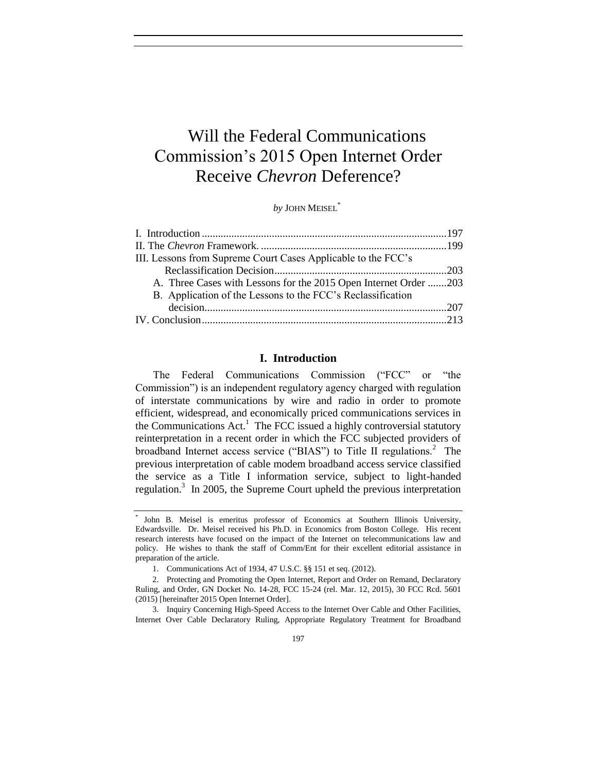# Will the Federal Communications Commission's 2015 Open Internet Order Receive *Chevron* Deference?

*by* JOHN MEISEL\*

| III. Lessons from Supreme Court Cases Applicable to the FCC's    |  |
|------------------------------------------------------------------|--|
|                                                                  |  |
| A. Three Cases with Lessons for the 2015 Open Internet Order 203 |  |
| B. Application of the Lessons to the FCC's Reclassification      |  |
|                                                                  |  |
|                                                                  |  |

#### **I. Introduction**

The Federal Communications Commission ("FCC" or "the Commission") is an independent regulatory agency charged with regulation of interstate communications by wire and radio in order to promote efficient, widespread, and economically priced communications services in the Communications  $Act<sup>1</sup>$  The FCC issued a highly controversial statutory reinterpretation in a recent order in which the FCC subjected providers of broadband Internet access service ("BIAS") to Title II regulations.<sup>2</sup> The previous interpretation of cable modem broadband access service classified the service as a Title I information service, subject to light-handed regulation.<sup>3</sup> In 2005, the Supreme Court upheld the previous interpretation

<sup>\*</sup> John B. Meisel is emeritus professor of Economics at Southern Illinois University, Edwardsville. Dr. Meisel received his Ph.D. in Economics from Boston College. His recent research interests have focused on the impact of the Internet on telecommunications law and policy. He wishes to thank the staff of Comm/Ent for their excellent editorial assistance in preparation of the article.

<sup>1.</sup> Communications Act of 1934, 47 U.S.C. §§ 151 et seq. (2012).

<sup>2.</sup> Protecting and Promoting the Open Internet, Report and Order on Remand, Declaratory Ruling, and Order, GN Docket No. 14-28, FCC 15-24 (rel. Mar. 12, 2015), 30 FCC Rcd. 5601 (2015) [hereinafter 2015 Open Internet Order].

<sup>3.</sup> Inquiry Concerning High-Speed Access to the Internet Over Cable and Other Facilities, Internet Over Cable Declaratory Ruling, Appropriate Regulatory Treatment for Broadband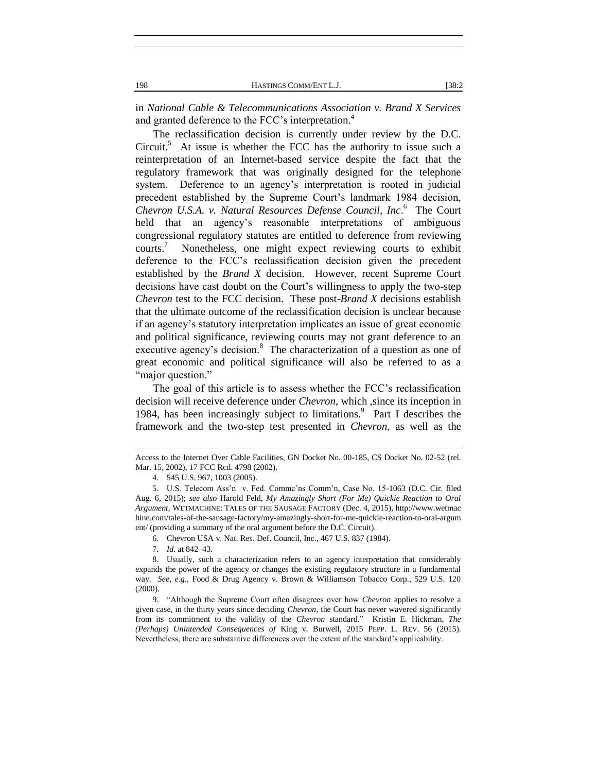in *National Cable & Telecommunications Association v. Brand X Services* and granted deference to the FCC's interpretation.<sup>4</sup>

The reclassification decision is currently under review by the D.C. Circuit.<sup>5</sup> At issue is whether the FCC has the authority to issue such a reinterpretation of an Internet-based service despite the fact that the regulatory framework that was originally designed for the telephone system. Deference to an agency's interpretation is rooted in judicial precedent established by the Supreme Court's landmark 1984 decision, *Chevron U.S.A. v. Natural Resources Defense Council, Inc*. 6 The Court held that an agency's reasonable interpretations of ambiguous congressional regulatory statutes are entitled to deference from reviewing  $counts.<sup>7</sup>$  Nonetheless, one might expect reviewing courts to exhibit deference to the FCC's reclassification decision given the precedent established by the *Brand X* decision. However, recent Supreme Court decisions have cast doubt on the Court's willingness to apply the two-step *Chevron* test to the FCC decision. These post-*Brand X* decisions establish that the ultimate outcome of the reclassification decision is unclear because if an agency's statutory interpretation implicates an issue of great economic and political significance, reviewing courts may not grant deference to an executive agency's decision.<sup>8</sup> The characterization of a question as one of great economic and political significance will also be referred to as a "major question."

The goal of this article is to assess whether the FCC's reclassification decision will receive deference under *Chevron*, which ,since its inception in 1984, has been increasingly subject to limitations.<sup>9</sup> Part I describes the framework and the two-step test presented in *Chevron*, as well as the

6. Chevron USA v. Nat. Res. Def. Council, Inc., 467 U.S. 837 (1984).

Access to the Internet Over Cable Facilities, GN Docket No. 00-185, CS Docket No. 02-52 (rel. Mar. 15, 2002), 17 FCC Rcd. 4798 (2002).

<sup>4. 545</sup> U.S. 967, 1003 (2005).

<sup>5.</sup> U.S. Telecom Ass'n v. Fed. Commc'ns Comm'n, Case No. 15-1063 (D.C. Cir. filed Aug. 6, 2015); *see also* Harold Feld, *My Amazingly Short (For Me) Quickie Reaction to Oral Argument*, WETMACHINE: TALES OF THE SAUSAGE FACTORY (Dec. 4, 2015), http://www.wetmac hine.com/tales-of-the-sausage-factory/my-amazingly-short-for-me-quickie-reaction-to-oral-argum ent/ (providing a summary of the oral argument before the D.C. Circuit).

<sup>7</sup>*. Id.* at 842–43.

<sup>8.</sup> Usually, such a characterization refers to an agency interpretation that considerably expands the power of the agency or changes the existing regulatory structure in a fundamental way. *See, e.g.,* Food & Drug Agency v. Brown & Williamson Tobacco Corp., 529 U.S. 120 (2000).

<sup>9.</sup> "Although the Supreme Court often disagrees over how *Chevron* applies to resolve a given case, in the thirty years since deciding *Chevron*, the Court has never wavered significantly from its commitment to the validity of the *Chevron* standard." Kristin E. Hickman, *The (Perhaps) Unintended Consequences of* King v. Burwell, 2015 PEPP. L. REV. 56 (2015). Nevertheless, there are substantive differences over the extent of the standard's applicability.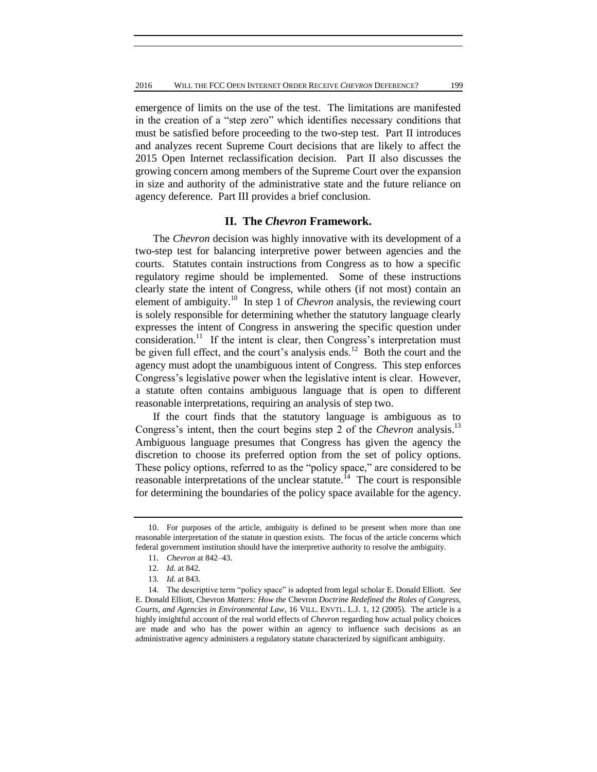emergence of limits on the use of the test. The limitations are manifested in the creation of a "step zero" which identifies necessary conditions that must be satisfied before proceeding to the two-step test. Part II introduces and analyzes recent Supreme Court decisions that are likely to affect the 2015 Open Internet reclassification decision. Part II also discusses the growing concern among members of the Supreme Court over the expansion in size and authority of the administrative state and the future reliance on agency deference. Part III provides a brief conclusion.

#### **II. The** *Chevron* **Framework.**

The *Chevron* decision was highly innovative with its development of a two-step test for balancing interpretive power between agencies and the courts. Statutes contain instructions from Congress as to how a specific regulatory regime should be implemented. Some of these instructions clearly state the intent of Congress, while others (if not most) contain an element of ambiguity.<sup>10</sup> In step 1 of *Chevron* analysis, the reviewing court is solely responsible for determining whether the statutory language clearly expresses the intent of Congress in answering the specific question under consideration.<sup>11</sup> If the intent is clear, then Congress's interpretation must be given full effect, and the court's analysis ends.<sup>12</sup> Both the court and the agency must adopt the unambiguous intent of Congress. This step enforces Congress's legislative power when the legislative intent is clear. However, a statute often contains ambiguous language that is open to different reasonable interpretations, requiring an analysis of step two.

If the court finds that the statutory language is ambiguous as to Congress's intent, then the court begins step 2 of the *Chevron* analysis.<sup>13</sup> Ambiguous language presumes that Congress has given the agency the discretion to choose its preferred option from the set of policy options. These policy options, referred to as the "policy space," are considered to be reasonable interpretations of the unclear statute.<sup> $14$ </sup> The court is responsible for determining the boundaries of the policy space available for the agency.

<sup>10.</sup> For purposes of the article, ambiguity is defined to be present when more than one reasonable interpretation of the statute in question exists. The focus of the article concerns which federal government institution should have the interpretive authority to resolve the ambiguity.

<sup>11</sup>*. Chevron* at 842–43.

<sup>12</sup>*. Id.* at 842.

<sup>13</sup>*. Id.* at 843.

<sup>14.</sup> The descriptive term "policy space" is adopted from legal scholar E. Donald Elliott. *See* E. Donald Elliott, Chevron *Matters: How the* Chevron *Doctrine Redefined the Roles of Congress, Courts, and Agencies in Environmental Law*, 16 VILL. ENVTL. L.J. 1, 12 (2005). The article is a highly insightful account of the real world effects of *Chevron* regarding how actual policy choices are made and who has the power within an agency to influence such decisions as an administrative agency administers a regulatory statute characterized by significant ambiguity.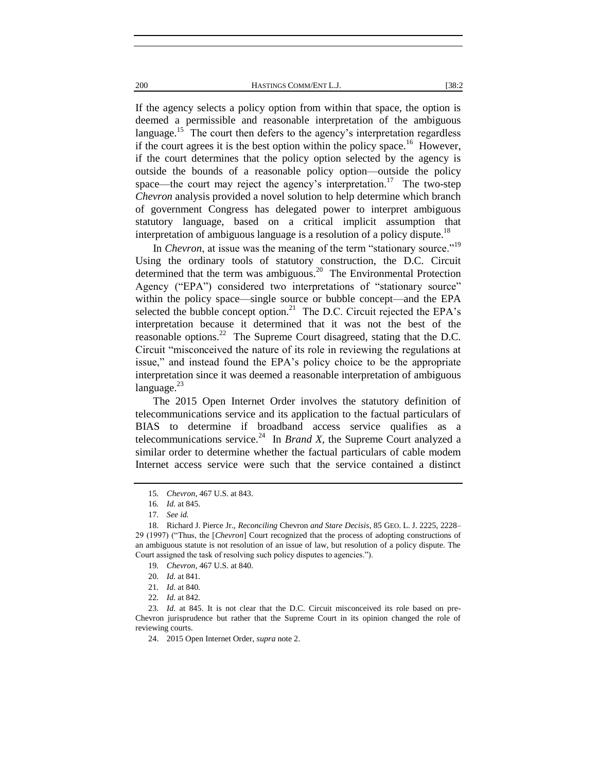If the agency selects a policy option from within that space, the option is deemed a permissible and reasonable interpretation of the ambiguous language.<sup>15</sup> The court then defers to the agency's interpretation regardless if the court agrees it is the best option within the policy space.<sup>16</sup> However, if the court determines that the policy option selected by the agency is outside the bounds of a reasonable policy option—outside the policy space—the court may reject the agency's interpretation.<sup>17</sup> The two-step *Chevron* analysis provided a novel solution to help determine which branch of government Congress has delegated power to interpret ambiguous statutory language, based on a critical implicit assumption that interpretation of ambiguous language is a resolution of a policy dispute.<sup>18</sup>

In *Chevron*, at issue was the meaning of the term "stationary source."<sup>19</sup> Using the ordinary tools of statutory construction, the D.C. Circuit determined that the term was ambiguous.<sup>20</sup> The Environmental Protection Agency ("EPA") considered two interpretations of "stationary source" within the policy space—single source or bubble concept—and the EPA selected the bubble concept option.<sup>21</sup> The D.C. Circuit rejected the EPA's interpretation because it determined that it was not the best of the reasonable options.<sup>22</sup> The Supreme Court disagreed, stating that the D.C. Circuit "misconceived the nature of its role in reviewing the regulations at issue," and instead found the EPA's policy choice to be the appropriate interpretation since it was deemed a reasonable interpretation of ambiguous language. $^{23}$ 

The 2015 Open Internet Order involves the statutory definition of telecommunications service and its application to the factual particulars of BIAS to determine if broadband access service qualifies as a telecommunications service.<sup>24</sup> In *Brand X*, the Supreme Court analyzed a similar order to determine whether the factual particulars of cable modem Internet access service were such that the service contained a distinct

<sup>15</sup>*. Chevron*, 467 U.S. at 843.

<sup>16</sup>*. Id.* at 845.

<sup>17</sup>*. See id.*

<sup>18.</sup> Richard J. Pierce Jr., *Reconciling* Chevron *and Stare Decisis*, 85 GEO. L. J. 2225, 2228– 29 (1997) ("Thus, the [*Chevron*] Court recognized that the process of adopting constructions of an ambiguous statute is not resolution of an issue of law, but resolution of a policy dispute. The Court assigned the task of resolving such policy disputes to agencies.").

<sup>19</sup>*. Chevron*, 467 U.S. at 840.

<sup>20</sup>*. Id.* at 841.

<sup>21</sup>*. Id.* at 840.

<sup>22</sup>*. Id.* at 842.

<sup>23</sup>*. Id.* at 845. It is not clear that the D.C. Circuit misconceived its role based on pre-Chevron jurisprudence but rather that the Supreme Court in its opinion changed the role of reviewing courts.

<sup>24. 2015</sup> Open Internet Order, *supra* note 2.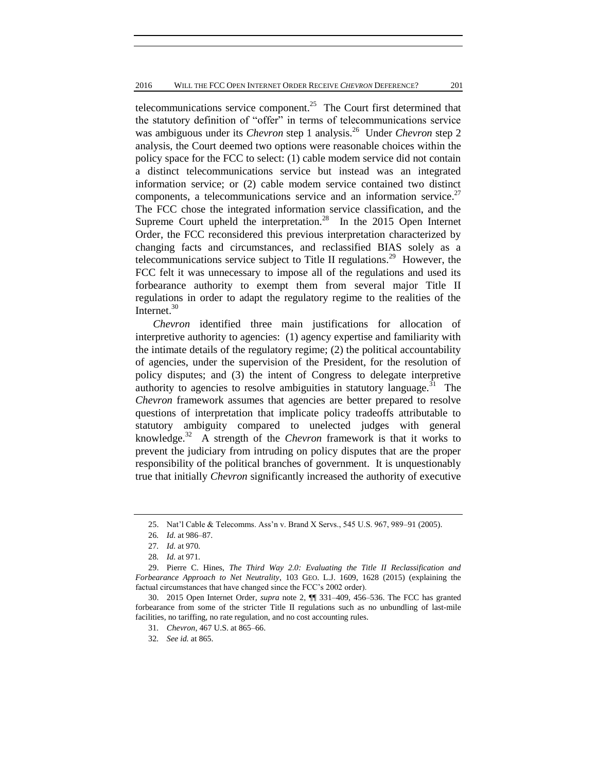telecommunications service component.<sup>25</sup> The Court first determined that the statutory definition of "offer" in terms of telecommunications service was ambiguous under its *Chevron* step 1 analysis.<sup>26</sup> Under *Chevron* step 2 analysis, the Court deemed two options were reasonable choices within the policy space for the FCC to select: (1) cable modem service did not contain a distinct telecommunications service but instead was an integrated information service; or (2) cable modem service contained two distinct components, a telecommunications service and an information service. $27$ The FCC chose the integrated information service classification, and the Supreme Court upheld the interpretation.<sup>28</sup> In the 2015 Open Internet Order, the FCC reconsidered this previous interpretation characterized by changing facts and circumstances, and reclassified BIAS solely as a telecommunications service subject to Title II regulations.<sup>29</sup> However, the FCC felt it was unnecessary to impose all of the regulations and used its forbearance authority to exempt them from several major Title II regulations in order to adapt the regulatory regime to the realities of the Internet.<sup>30</sup>

*Chevron* identified three main justifications for allocation of interpretive authority to agencies: (1) agency expertise and familiarity with the intimate details of the regulatory regime; (2) the political accountability of agencies, under the supervision of the President, for the resolution of policy disputes; and (3) the intent of Congress to delegate interpretive authority to agencies to resolve ambiguities in statutory language.<sup>31</sup> The *Chevron* framework assumes that agencies are better prepared to resolve questions of interpretation that implicate policy tradeoffs attributable to statutory ambiguity compared to unelected judges with general knowledge.<sup>32</sup> A strength of the *Chevron* framework is that it works to prevent the judiciary from intruding on policy disputes that are the proper responsibility of the political branches of government. It is unquestionably true that initially *Chevron* significantly increased the authority of executive

<sup>25.</sup> Nat'l Cable & Telecomms. Ass'n v. Brand X Servs., 545 U.S. 967, 989–91 (2005).

<sup>26</sup>*. Id.* at 986–87.

<sup>27</sup>*. Id.* at 970.

<sup>28</sup>*. Id.* at 971.

<sup>29.</sup> Pierre C. Hines, *The Third Way 2.0: Evaluating the Title II Reclassification and Forbearance Approach to Net Neutrality*, 103 GEO. L.J. 1609, 1628 (2015) (explaining the factual circumstances that have changed since the FCC's 2002 order).

<sup>30. 2015</sup> Open Internet Order, *supra* note 2, ¶¶ 331–409, 456–536. The FCC has granted forbearance from some of the stricter Title II regulations such as no unbundling of last-mile facilities, no tariffing, no rate regulation, and no cost accounting rules.

<sup>31</sup>*. Chevron*, 467 U.S. at 865–66.

<sup>32</sup>*. See id.* at 865.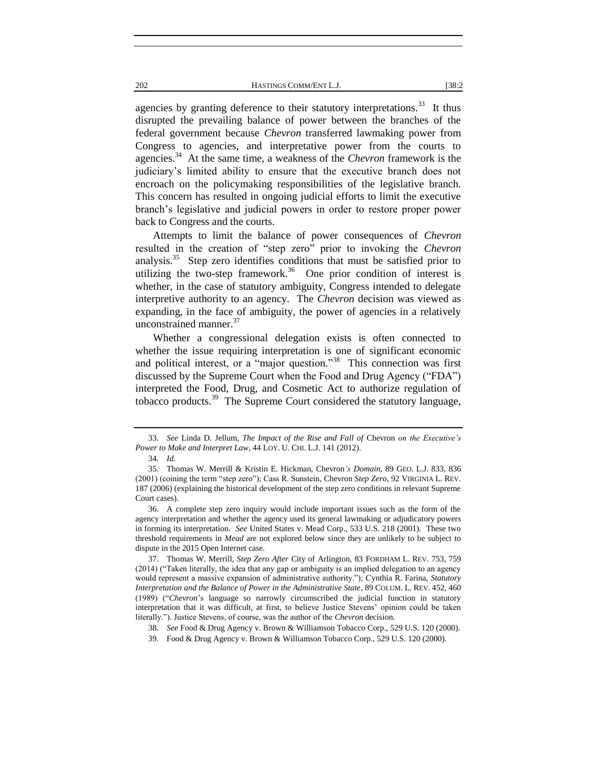agencies by granting deference to their statutory interpretations.<sup>33</sup> It thus disrupted the prevailing balance of power between the branches of the federal government because *Chevron* transferred lawmaking power from Congress to agencies, and interpretative power from the courts to agencies.<sup>34</sup> At the same time, a weakness of the *Chevron* framework is the judiciary's limited ability to ensure that the executive branch does not encroach on the policymaking responsibilities of the legislative branch. This concern has resulted in ongoing judicial efforts to limit the executive branch's legislative and judicial powers in order to restore proper power back to Congress and the courts.

Attempts to limit the balance of power consequences of *Chevron* resulted in the creation of "step zero" prior to invoking the *Chevron* analysis.<sup>35</sup> Step zero identifies conditions that must be satisfied prior to utilizing the two-step framework.<sup>36</sup> One prior condition of interest is whether, in the case of statutory ambiguity, Congress intended to delegate interpretive authority to an agency. The *Chevron* decision was viewed as expanding, in the face of ambiguity, the power of agencies in a relatively unconstrained manner.<sup>37</sup>

Whether a congressional delegation exists is often connected to whether the issue requiring interpretation is one of significant economic and political interest, or a "major question."<sup>38</sup> This connection was first discussed by the Supreme Court when the Food and Drug Agency ("FDA") interpreted the Food, Drug, and Cosmetic Act to authorize regulation of tobacco products.<sup>39</sup> The Supreme Court considered the statutory language,

<sup>33</sup>*. See* Linda D. Jellum, *The Impact of the Rise and Fall of* Chevron *on the Executive's Power to Make and Interpret Law*, 44 LOY. U. CHI. L.J. 141 (2012).

<sup>34</sup>*. Id.*

<sup>35.</sup> Thomas W. Merrill & Kristin E. Hickman, Chevron*'s Domain*, 89 GEO. L.J. 833, 836 (2001) (coining the term "step zero"); Cass R. Sunstein, Chevron *Step Zero*, 92 VIRGINIA L. REV. 187 (2006) (explaining the historical development of the step zero conditions in relevant Supreme Court cases).

<sup>36.</sup> A complete step zero inquiry would include important issues such as the form of the agency interpretation and whether the agency used its general lawmaking or adjudicatory powers in forming its interpretation. *See* United States v. Mead Corp., 533 U.S. 218 (2001). These two threshold requirements in *Mead* are not explored below since they are unlikely to be subject to dispute in the 2015 Open Internet case.

<sup>37.</sup> Thomas W. Merrill, *Step Zero After* City of Arlington, 83 FORDHAM L. REV. 753, 759 (2014) ("Taken literally, the idea that any gap or ambiguity is an implied delegation to an agency would represent a massive expansion of administrative authority."); Cynthia R. Farina, *Statutory Interpretation and the Balance of Power in the Administrative State*, 89 COLUM. L. REV. 452, 460 (1989) ("*Chevron*'s language so narrowly circumscribed the judicial function in statutory interpretation that it was difficult, at first, to believe Justice Stevens' opinion could be taken literally."). Justice Stevens, of course, was the author of the *Chevron* decision.

<sup>38</sup>*. See* Food & Drug Agency v. Brown & Williamson Tobacco Corp., 529 U.S. 120 (2000).

<sup>39.</sup> Food & Drug Agency v. Brown & Williamson Tobacco Corp., 529 U.S. 120 (2000).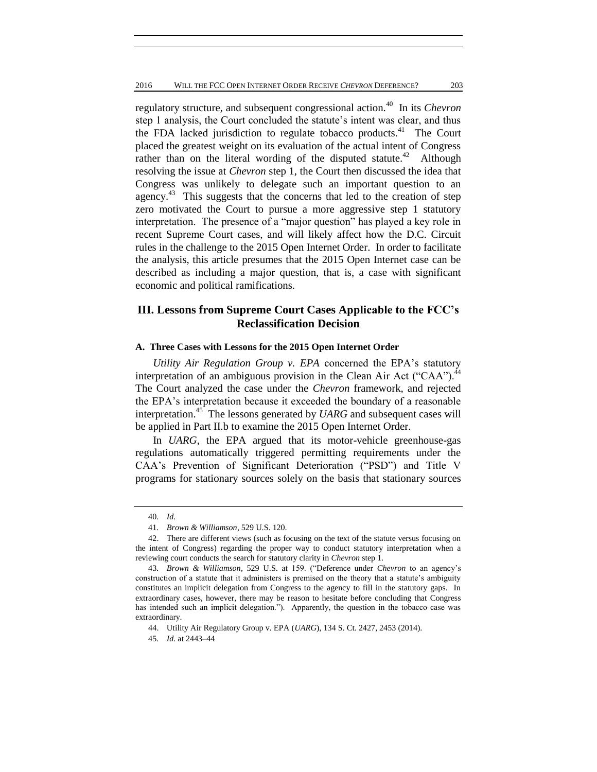regulatory structure, and subsequent congressional action.<sup>40</sup> In its *Chevron* step 1 analysis, the Court concluded the statute's intent was clear, and thus the FDA lacked jurisdiction to regulate tobacco products.<sup>41</sup> The Court placed the greatest weight on its evaluation of the actual intent of Congress rather than on the literal wording of the disputed statute.<sup>42</sup> Although resolving the issue at *Chevron* step 1, the Court then discussed the idea that Congress was unlikely to delegate such an important question to an agency.<sup>43</sup> This suggests that the concerns that led to the creation of step zero motivated the Court to pursue a more aggressive step 1 statutory interpretation. The presence of a "major question" has played a key role in recent Supreme Court cases, and will likely affect how the D.C. Circuit rules in the challenge to the 2015 Open Internet Order. In order to facilitate the analysis, this article presumes that the 2015 Open Internet case can be described as including a major question, that is, a case with significant economic and political ramifications.

## **III. Lessons from Supreme Court Cases Applicable to the FCC's Reclassification Decision**

#### **A. Three Cases with Lessons for the 2015 Open Internet Order**

*Utility Air Regulation Group v. EPA* concerned the EPA's statutory interpretation of an ambiguous provision in the Clean Air Act ("CAA").<sup>44</sup> The Court analyzed the case under the *Chevron* framework, and rejected the EPA's interpretation because it exceeded the boundary of a reasonable interpretation.<sup>45</sup> The lessons generated by *UARG* and subsequent cases will be applied in Part II.b to examine the 2015 Open Internet Order.

In *UARG*, the EPA argued that its motor-vehicle greenhouse-gas regulations automatically triggered permitting requirements under the CAA's Prevention of Significant Deterioration ("PSD") and Title V programs for stationary sources solely on the basis that stationary sources

<sup>40</sup>*. Id.*

<sup>41</sup>*. Brown & Williamson*, 529 U.S. 120.

<sup>42.</sup> There are different views (such as focusing on the text of the statute versus focusing on the intent of Congress) regarding the proper way to conduct statutory interpretation when a reviewing court conducts the search for statutory clarity in *Chevron* step 1.

<sup>43</sup>*. Brown & Williamson*, 529 U.S. at 159. ("Deference under *Chevron* to an agency's construction of a statute that it administers is premised on the theory that a statute's ambiguity constitutes an implicit delegation from Congress to the agency to fill in the statutory gaps. In extraordinary cases, however, there may be reason to hesitate before concluding that Congress has intended such an implicit delegation."). Apparently, the question in the tobacco case was extraordinary.

<sup>44.</sup> Utility Air Regulatory Group v. EPA (*UARG*), 134 S. Ct. 2427, 2453 (2014).

<sup>45</sup>*. Id.* at 2443–44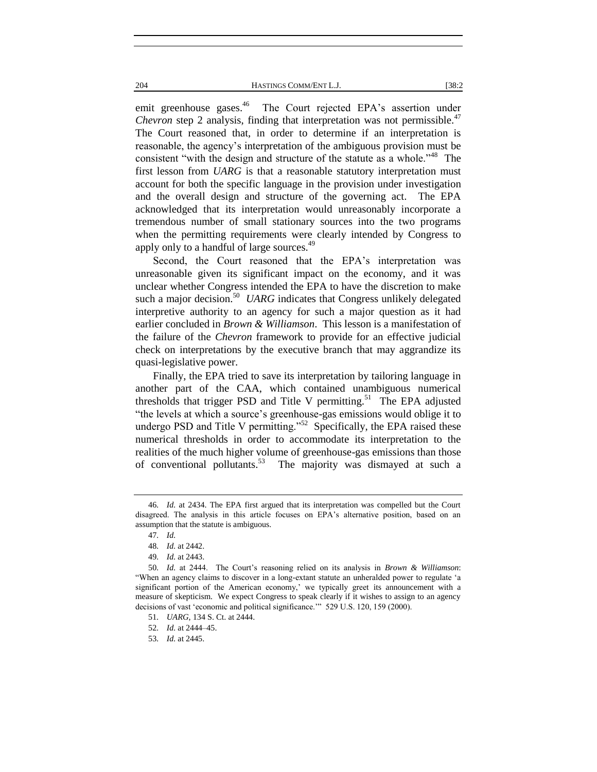emit greenhouse gases.<sup>46</sup> The Court rejected EPA's assertion under *Chevron* step 2 analysis, finding that interpretation was not permissible.<sup>47</sup> The Court reasoned that, in order to determine if an interpretation is reasonable, the agency's interpretation of the ambiguous provision must be consistent "with the design and structure of the statute as a whole."<sup>48</sup> The first lesson from *UARG* is that a reasonable statutory interpretation must account for both the specific language in the provision under investigation and the overall design and structure of the governing act. The EPA acknowledged that its interpretation would unreasonably incorporate a tremendous number of small stationary sources into the two programs when the permitting requirements were clearly intended by Congress to apply only to a handful of large sources.<sup>49</sup>

Second, the Court reasoned that the EPA's interpretation was unreasonable given its significant impact on the economy, and it was unclear whether Congress intended the EPA to have the discretion to make such a major decision.<sup>50</sup> UARG indicates that Congress unlikely delegated interpretive authority to an agency for such a major question as it had earlier concluded in *Brown & Williamson*. This lesson is a manifestation of the failure of the *Chevron* framework to provide for an effective judicial check on interpretations by the executive branch that may aggrandize its quasi-legislative power.

Finally, the EPA tried to save its interpretation by tailoring language in another part of the CAA, which contained unambiguous numerical thresholds that trigger PSD and Title V permitting.<sup>51</sup> The EPA adjusted "the levels at which a source's greenhouse-gas emissions would oblige it to undergo PSD and Title V permitting."<sup>52</sup> Specifically, the EPA raised these numerical thresholds in order to accommodate its interpretation to the realities of the much higher volume of greenhouse-gas emissions than those of conventional pollutants.<sup>53</sup> The majority was dismayed at such a

<sup>46</sup>*. Id.* at 2434. The EPA first argued that its interpretation was compelled but the Court disagreed. The analysis in this article focuses on EPA's alternative position, based on an assumption that the statute is ambiguous.

<sup>47</sup>*. Id.*

<sup>48</sup>*. Id.* at 2442.

<sup>49</sup>*. Id.* at 2443.

<sup>50</sup>*. Id.* at 2444. The Court's reasoning relied on its analysis in *Brown & Williamson*: "When an agency claims to discover in a long-extant statute an unheralded power to regulate 'a significant portion of the American economy,' we typically greet its announcement with a measure of skepticism. We expect Congress to speak clearly if it wishes to assign to an agency decisions of vast 'economic and political significance.'" 529 U.S. 120, 159 (2000).

<sup>51</sup>*. UARG*, 134 S. Ct. at 2444.

<sup>52</sup>*. Id.* at 2444–45.

<sup>53</sup>*. Id.* at 2445.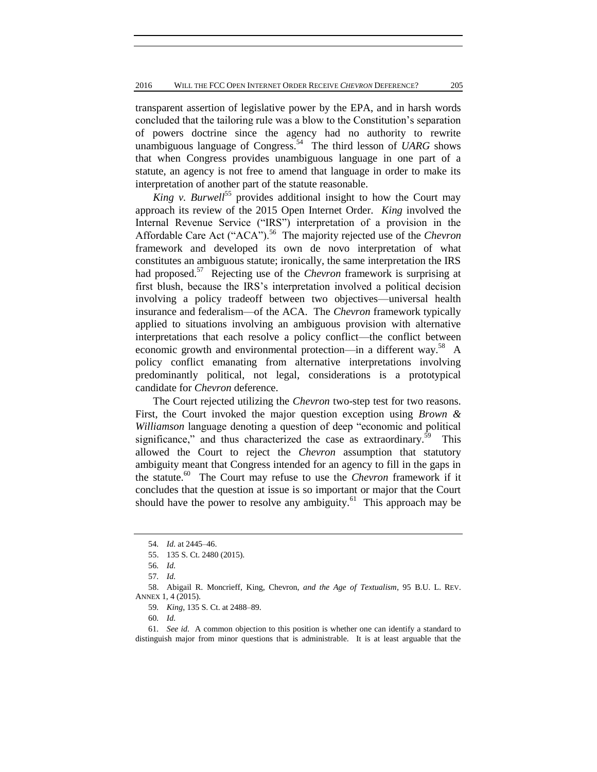transparent assertion of legislative power by the EPA, and in harsh words concluded that the tailoring rule was a blow to the Constitution's separation of powers doctrine since the agency had no authority to rewrite unambiguous language of Congress.<sup>54</sup> The third lesson of *UARG* shows that when Congress provides unambiguous language in one part of a statute, an agency is not free to amend that language in order to make its interpretation of another part of the statute reasonable.

*King v. Burwell*<sup>55</sup> provides additional insight to how the Court may approach its review of the 2015 Open Internet Order. *King* involved the Internal Revenue Service ("IRS") interpretation of a provision in the Affordable Care Act ("ACA").<sup>56</sup> The majority rejected use of the *Chevron* framework and developed its own de novo interpretation of what constitutes an ambiguous statute; ironically, the same interpretation the IRS had proposed.<sup>57</sup> Rejecting use of the *Chevron* framework is surprising at first blush, because the IRS's interpretation involved a political decision involving a policy tradeoff between two objectives—universal health insurance and federalism—of the ACA. The *Chevron* framework typically applied to situations involving an ambiguous provision with alternative interpretations that each resolve a policy conflict—the conflict between economic growth and environmental protection—in a different way.<sup>58</sup> A policy conflict emanating from alternative interpretations involving predominantly political, not legal, considerations is a prototypical candidate for *Chevron* deference.

The Court rejected utilizing the *Chevron* two-step test for two reasons. First, the Court invoked the major question exception using *Brown & Williamson* language denoting a question of deep "economic and political significance," and thus characterized the case as extraordinary.<sup>59</sup> This allowed the Court to reject the *Chevron* assumption that statutory ambiguity meant that Congress intended for an agency to fill in the gaps in the statute.<sup>60</sup> The Court may refuse to use the *Chevron* framework if it concludes that the question at issue is so important or major that the Court should have the power to resolve any ambiguity. $^{61}$  This approach may be

<sup>54</sup>*. Id.* at 2445–46.

<sup>55. 135</sup> S. Ct. 2480 (2015).

<sup>56</sup>*. Id.*

<sup>57</sup>*. Id.*

<sup>58.</sup> Abigail R. Moncrieff, King*,* Chevron*, and the Age of Textualism*, 95 B.U. L. REV. ANNEX 1, 4 (2015).

<sup>59</sup>*. King*, 135 S. Ct. at 2488–89.

<sup>60</sup>*. Id.*

<sup>61</sup>*. See id.* A common objection to this position is whether one can identify a standard to distinguish major from minor questions that is administrable. It is at least arguable that the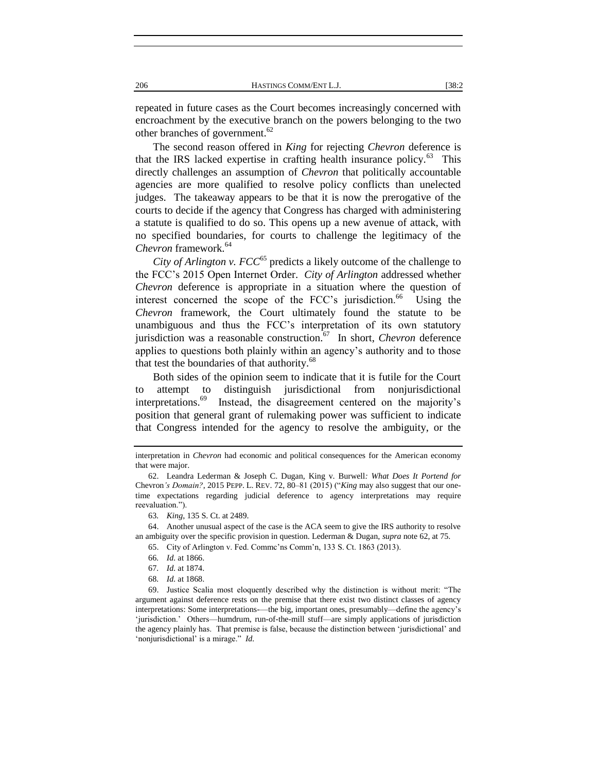repeated in future cases as the Court becomes increasingly concerned with encroachment by the executive branch on the powers belonging to the two other branches of government.<sup>62</sup>

The second reason offered in *King* for rejecting *Chevron* deference is that the IRS lacked expertise in crafting health insurance policy.<sup>63</sup> This directly challenges an assumption of *Chevron* that politically accountable agencies are more qualified to resolve policy conflicts than unelected judges. The takeaway appears to be that it is now the prerogative of the courts to decide if the agency that Congress has charged with administering a statute is qualified to do so. This opens up a new avenue of attack, with no specified boundaries, for courts to challenge the legitimacy of the *Chevron* framework.<sup>64</sup>

*City of Arlington v. FCC*<sup>65</sup> predicts a likely outcome of the challenge to the FCC's 2015 Open Internet Order. *City of Arlington* addressed whether *Chevron* deference is appropriate in a situation where the question of interest concerned the scope of the FCC's jurisdiction.<sup>66</sup> Using the *Chevron* framework, the Court ultimately found the statute to be unambiguous and thus the FCC's interpretation of its own statutory jurisdiction was a reasonable construction.<sup>67</sup> In short, *Chevron* deference applies to questions both plainly within an agency's authority and to those that test the boundaries of that authority.<sup>68</sup>

Both sides of the opinion seem to indicate that it is futile for the Court to attempt to distinguish jurisdictional from nonjurisdictional interpretations.<sup>69</sup> Instead, the disagreement centered on the majority's position that general grant of rulemaking power was sufficient to indicate that Congress intended for the agency to resolve the ambiguity, or the

63*. King*, 135 S. Ct. at 2489.

64. Another unusual aspect of the case is the ACA seem to give the IRS authority to resolve an ambiguity over the specific provision in question. Lederman & Dugan, *supra* note 62, at 75.

- 65. City of Arlington v. Fed. Commc'ns Comm'n, 133 S. Ct. 1863 (2013).
- 66*. Id.* at 1866.
- 67*. Id.* at 1874.
- 68*. Id.* at 1868.

69. Justice Scalia most eloquently described why the distinction is without merit: "The argument against deference rests on the premise that there exist two distinct classes of agency interpretations: Some interpretations-—the big, important ones, presumably—define the agency's 'jurisdiction.' Others—humdrum, run-of-the-mill stuff—are simply applications of jurisdiction the agency plainly has. That premise is false, because the distinction between 'jurisdictional' and 'nonjurisdictional' is a mirage." *Id.*

interpretation in *Chevron* had economic and political consequences for the American economy that were major.

<sup>62.</sup> Leandra Lederman & Joseph C. Dugan, King v. Burwell*: What Does It Portend for* Chevron*'s Domain?*, 2015 PEPP. L. REV. 72, 80–81 (2015) ("*King* may also suggest that our onetime expectations regarding judicial deference to agency interpretations may require reevaluation.").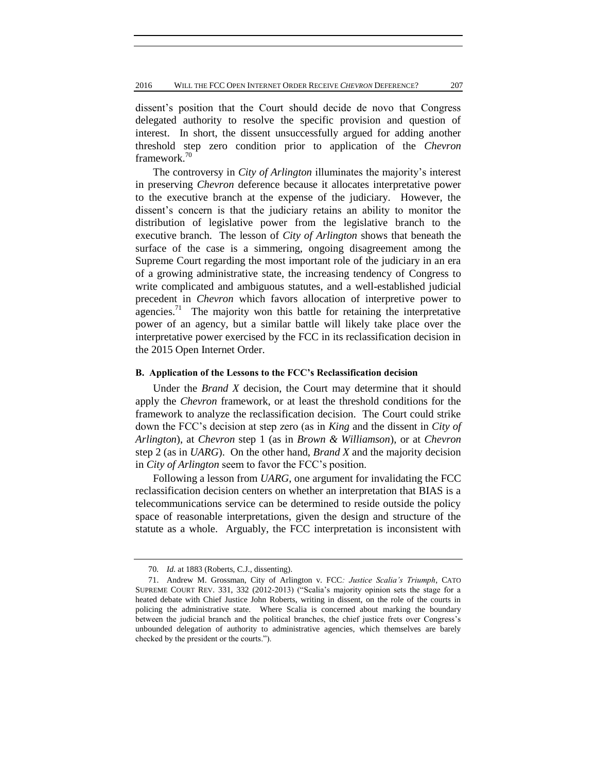dissent's position that the Court should decide de novo that Congress delegated authority to resolve the specific provision and question of interest. In short, the dissent unsuccessfully argued for adding another threshold step zero condition prior to application of the *Chevron* framework.<sup>70</sup>

The controversy in *City of Arlington* illuminates the majority's interest in preserving *Chevron* deference because it allocates interpretative power to the executive branch at the expense of the judiciary. However, the dissent's concern is that the judiciary retains an ability to monitor the distribution of legislative power from the legislative branch to the executive branch. The lesson of *City of Arlington* shows that beneath the surface of the case is a simmering, ongoing disagreement among the Supreme Court regarding the most important role of the judiciary in an era of a growing administrative state, the increasing tendency of Congress to write complicated and ambiguous statutes, and a well-established judicial precedent in *Chevron* which favors allocation of interpretive power to agencies.<sup>71</sup> The majority won this battle for retaining the interpretative power of an agency, but a similar battle will likely take place over the interpretative power exercised by the FCC in its reclassification decision in the 2015 Open Internet Order.

#### **B. Application of the Lessons to the FCC's Reclassification decision**

Under the *Brand X* decision, the Court may determine that it should apply the *Chevron* framework, or at least the threshold conditions for the framework to analyze the reclassification decision. The Court could strike down the FCC's decision at step zero (as in *King* and the dissent in *City of Arlington*), at *Chevron* step 1 (as in *Brown & Williamson*), or at *Chevron* step 2 (as in *UARG*). On the other hand, *Brand X* and the majority decision in *City of Arlington* seem to favor the FCC's position.

Following a lesson from *UARG*, one argument for invalidating the FCC reclassification decision centers on whether an interpretation that BIAS is a telecommunications service can be determined to reside outside the policy space of reasonable interpretations, given the design and structure of the statute as a whole. Arguably, the FCC interpretation is inconsistent with

<sup>70</sup>*. Id.* at 1883 (Roberts, C.J., dissenting).

<sup>71.</sup> Andrew M. Grossman, City of Arlington v. FCC*: Justice Scalia's Triumph*, CATO SUPREME COURT REV. 331, 332 (2012-2013) ("Scalia's majority opinion sets the stage for a heated debate with Chief Justice John Roberts, writing in dissent, on the role of the courts in policing the administrative state. Where Scalia is concerned about marking the boundary between the judicial branch and the political branches, the chief justice frets over Congress's unbounded delegation of authority to administrative agencies, which themselves are barely checked by the president or the courts.").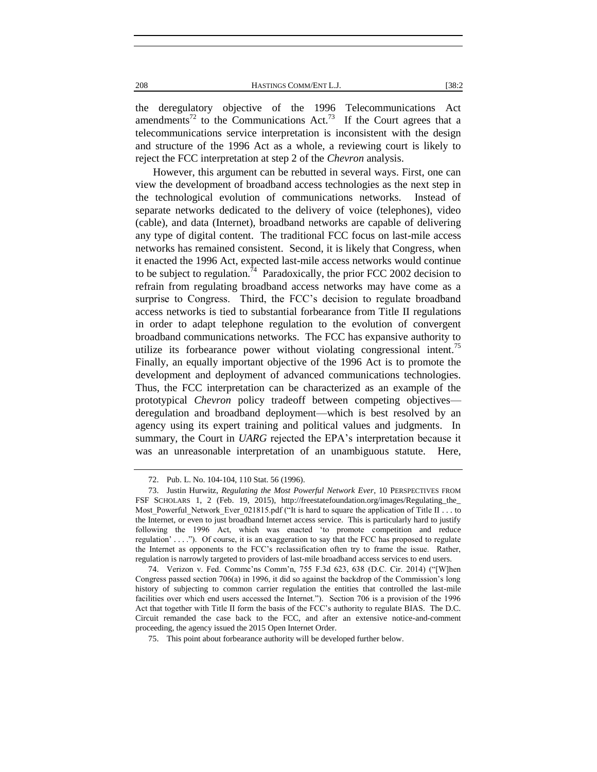the deregulatory objective of the 1996 Telecommunications Act amendments<sup>72</sup> to the Communications Act.<sup>73</sup> If the Court agrees that a telecommunications service interpretation is inconsistent with the design and structure of the 1996 Act as a whole, a reviewing court is likely to reject the FCC interpretation at step 2 of the *Chevron* analysis.

However, this argument can be rebutted in several ways. First, one can view the development of broadband access technologies as the next step in the technological evolution of communications networks. Instead of separate networks dedicated to the delivery of voice (telephones), video (cable), and data (Internet), broadband networks are capable of delivering any type of digital content. The traditional FCC focus on last-mile access networks has remained consistent. Second, it is likely that Congress, when it enacted the 1996 Act, expected last-mile access networks would continue to be subject to regulation.<sup>74</sup> Paradoxically, the prior FCC 2002 decision to refrain from regulating broadband access networks may have come as a surprise to Congress. Third, the FCC's decision to regulate broadband access networks is tied to substantial forbearance from Title II regulations in order to adapt telephone regulation to the evolution of convergent broadband communications networks. The FCC has expansive authority to utilize its forbearance power without violating congressional intent.<sup>75</sup> Finally, an equally important objective of the 1996 Act is to promote the development and deployment of advanced communications technologies. Thus, the FCC interpretation can be characterized as an example of the prototypical *Chevron* policy tradeoff between competing objectives deregulation and broadband deployment—which is best resolved by an agency using its expert training and political values and judgments. In summary, the Court in *UARG* rejected the EPA's interpretation because it was an unreasonable interpretation of an unambiguous statute. Here,

<sup>72.</sup> Pub. L. No. 104-104, 110 Stat. 56 (1996).

<sup>73.</sup> Justin Hurwitz, *Regulating the Most Powerful Network Ever*, 10 PERSPECTIVES FROM FSF SCHOLARS 1, 2 (Feb. 19, 2015), http://freestatefoundation.org/images/Regulating\_the\_ Most\_Powerful\_Network\_Ever\_021815.pdf ("It is hard to square the application of Title II . . . to the Internet, or even to just broadband Internet access service. This is particularly hard to justify following the 1996 Act, which was enacted 'to promote competition and reduce regulation' . . . ."). Of course, it is an exaggeration to say that the FCC has proposed to regulate the Internet as opponents to the FCC's reclassification often try to frame the issue. Rather, regulation is narrowly targeted to providers of last-mile broadband access services to end users.

<sup>74.</sup> Verizon v. Fed. Commc'ns Comm'n, 755 F.3d 623, 638 (D.C. Cir. 2014) ("[W]hen Congress passed section 706(a) in 1996, it did so against the backdrop of the Commission's long history of subjecting to common carrier regulation the entities that controlled the last-mile facilities over which end users accessed the Internet."). Section 706 is a provision of the 1996 Act that together with Title II form the basis of the FCC's authority to regulate BIAS. The D.C. Circuit remanded the case back to the FCC, and after an extensive notice-and-comment proceeding, the agency issued the 2015 Open Internet Order.

<sup>75.</sup> This point about forbearance authority will be developed further below.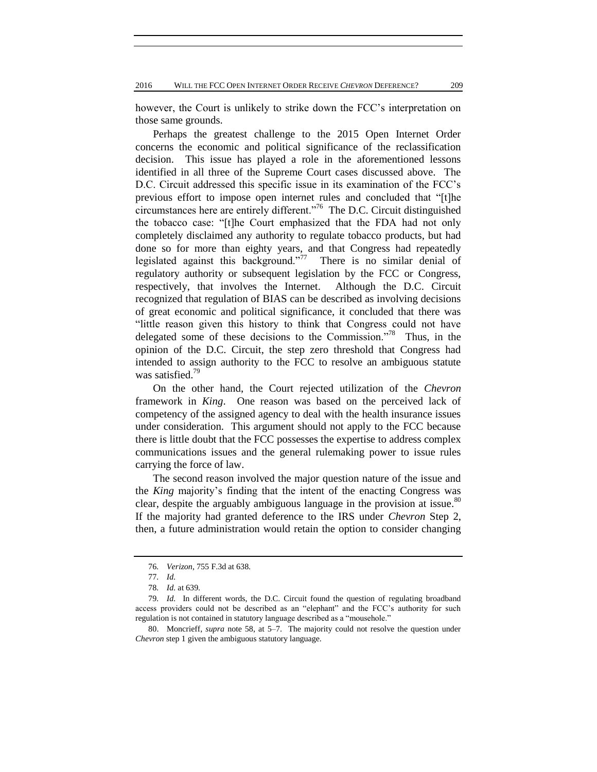2016 WILL THE FCC OPEN INTERNET ORDER RECEIVE *CHEVRON* DEFERENCE? 209

however, the Court is unlikely to strike down the FCC's interpretation on those same grounds.

Perhaps the greatest challenge to the 2015 Open Internet Order concerns the economic and political significance of the reclassification decision. This issue has played a role in the aforementioned lessons identified in all three of the Supreme Court cases discussed above. The D.C. Circuit addressed this specific issue in its examination of the FCC's previous effort to impose open internet rules and concluded that "[t]he circumstances here are entirely different."<sup>76</sup> The D.C. Circuit distinguished the tobacco case: "[t]he Court emphasized that the FDA had not only completely disclaimed any authority to regulate tobacco products, but had done so for more than eighty years, and that Congress had repeatedly legislated against this background."<sup>77</sup> There is no similar denial of regulatory authority or subsequent legislation by the FCC or Congress, respectively, that involves the Internet. Although the D.C. Circuit recognized that regulation of BIAS can be described as involving decisions of great economic and political significance, it concluded that there was "little reason given this history to think that Congress could not have delegated some of these decisions to the Commission."<sup>78</sup> Thus, in the opinion of the D.C. Circuit, the step zero threshold that Congress had intended to assign authority to the FCC to resolve an ambiguous statute was satisfied.<sup>79</sup>

On the other hand, the Court rejected utilization of the *Chevron* framework in *King*. One reason was based on the perceived lack of competency of the assigned agency to deal with the health insurance issues under consideration. This argument should not apply to the FCC because there is little doubt that the FCC possesses the expertise to address complex communications issues and the general rulemaking power to issue rules carrying the force of law.

The second reason involved the major question nature of the issue and the *King* majority's finding that the intent of the enacting Congress was clear, despite the arguably ambiguous language in the provision at issue.<sup>80</sup> If the majority had granted deference to the IRS under *Chevron* Step 2, then, a future administration would retain the option to consider changing

80. Moncrieff, *supra* note 58, at 5–7. The majority could not resolve the question under *Chevron* step 1 given the ambiguous statutory language.

<sup>76</sup>*. Verizon*, 755 F.3d at 638.

<sup>77</sup>*. Id.*

<sup>78</sup>*. Id.* at 639.

<sup>79</sup>*. Id.* In different words, the D.C. Circuit found the question of regulating broadband access providers could not be described as an "elephant" and the FCC's authority for such regulation is not contained in statutory language described as a "mousehole."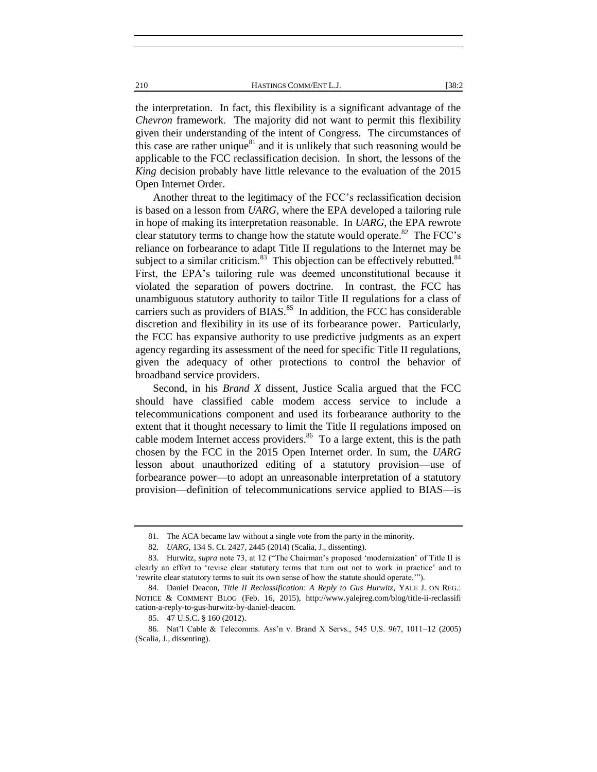the interpretation. In fact, this flexibility is a significant advantage of the *Chevron* framework. The majority did not want to permit this flexibility given their understanding of the intent of Congress. The circumstances of this case are rather unique $^{81}$  and it is unlikely that such reasoning would be applicable to the FCC reclassification decision. In short, the lessons of the *King* decision probably have little relevance to the evaluation of the 2015 Open Internet Order.

Another threat to the legitimacy of the FCC's reclassification decision is based on a lesson from *UARG*, where the EPA developed a tailoring rule in hope of making its interpretation reasonable. In *UARG*, the EPA rewrote clear statutory terms to change how the statute would operate. $82$  The FCC's reliance on forbearance to adapt Title II regulations to the Internet may be subject to a similar criticism. $83$  This objection can be effectively rebutted. $84$ First, the EPA's tailoring rule was deemed unconstitutional because it violated the separation of powers doctrine. In contrast, the FCC has unambiguous statutory authority to tailor Title II regulations for a class of carriers such as providers of BIAS. $85$  In addition, the FCC has considerable discretion and flexibility in its use of its forbearance power. Particularly, the FCC has expansive authority to use predictive judgments as an expert agency regarding its assessment of the need for specific Title II regulations, given the adequacy of other protections to control the behavior of broadband service providers.

Second, in his *Brand X* dissent, Justice Scalia argued that the FCC should have classified cable modem access service to include a telecommunications component and used its forbearance authority to the extent that it thought necessary to limit the Title II regulations imposed on cable modem Internet access providers.<sup>86</sup> To a large extent, this is the path chosen by the FCC in the 2015 Open Internet order. In sum, the *UARG* lesson about unauthorized editing of a statutory provision—use of forbearance power—to adopt an unreasonable interpretation of a statutory provision—definition of telecommunications service applied to BIAS—is

<sup>81.</sup> The ACA became law without a single vote from the party in the minority.

<sup>82</sup>*. UARG*, 134 S. Ct. 2427, 2445 (2014) (Scalia, J., dissenting).

<sup>83.</sup> Hurwitz, *supra* note 73, at 12 ("The Chairman's proposed 'modernization' of Title II is clearly an effort to 'revise clear statutory terms that turn out not to work in practice' and to 'rewrite clear statutory terms to suit its own sense of how the statute should operate.'").

<sup>84.</sup> Daniel Deacon, *Title II Reclassification: A Reply to Gus Hurwitz*, YALE J. ON REG.: NOTICE & COMMENT BLOG (Feb. 16, 2015), http://www.yalejreg.com/blog/title-ii-reclassifi cation-a-reply-to-gus-hurwitz-by-daniel-deacon.

<sup>85. 47</sup> U.S.C. § 160 (2012).

<sup>86.</sup> Nat'l Cable & Telecomms. Ass'n v. Brand X Servs., 545 U.S. 967, 1011–12 (2005) (Scalia, J., dissenting).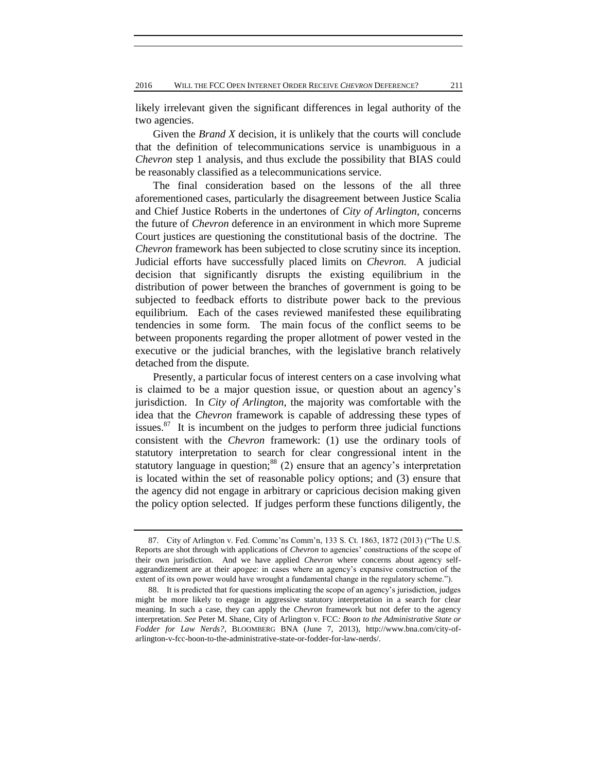likely irrelevant given the significant differences in legal authority of the two agencies.

Given the *Brand X* decision, it is unlikely that the courts will conclude that the definition of telecommunications service is unambiguous in a *Chevron* step 1 analysis, and thus exclude the possibility that BIAS could be reasonably classified as a telecommunications service.

The final consideration based on the lessons of the all three aforementioned cases, particularly the disagreement between Justice Scalia and Chief Justice Roberts in the undertones of *City of Arlington*, concerns the future of *Chevron* deference in an environment in which more Supreme Court justices are questioning the constitutional basis of the doctrine. The *Chevron* framework has been subjected to close scrutiny since its inception. Judicial efforts have successfully placed limits on *Chevron.* A judicial decision that significantly disrupts the existing equilibrium in the distribution of power between the branches of government is going to be subjected to feedback efforts to distribute power back to the previous equilibrium. Each of the cases reviewed manifested these equilibrating tendencies in some form. The main focus of the conflict seems to be between proponents regarding the proper allotment of power vested in the executive or the judicial branches, with the legislative branch relatively detached from the dispute.

Presently, a particular focus of interest centers on a case involving what is claimed to be a major question issue, or question about an agency's jurisdiction. In *City of Arlington*, the majority was comfortable with the idea that the *Chevron* framework is capable of addressing these types of issues. $87$  It is incumbent on the judges to perform three judicial functions consistent with the *Chevron* framework: (1) use the ordinary tools of statutory interpretation to search for clear congressional intent in the statutory language in question;<sup>88</sup> (2) ensure that an agency's interpretation is located within the set of reasonable policy options; and (3) ensure that the agency did not engage in arbitrary or capricious decision making given the policy option selected. If judges perform these functions diligently, the

<sup>87.</sup> City of Arlington v. Fed. Commc'ns Comm'n, 133 S. Ct. 1863, 1872 (2013) ("The U.S. Reports are shot through with applications of *Chevron* to agencies' constructions of the scope of their own jurisdiction. And we have applied *Chevron* where concerns about agency selfaggrandizement are at their apogee: in cases where an agency's expansive construction of the extent of its own power would have wrought a fundamental change in the regulatory scheme.").

<sup>88.</sup> It is predicted that for questions implicating the scope of an agency's jurisdiction, judges might be more likely to engage in aggressive statutory interpretation in a search for clear meaning. In such a case, they can apply the *Chevron* framework but not defer to the agency interpretation. *See* Peter M. Shane, City of Arlington v. FCC*: Boon to the Administrative State or Fodder for Law Nerds?*, BLOOMBERG BNA (June 7, 2013), http://www.bna.com/city-ofarlington-v-fcc-boon-to-the-administrative-state-or-fodder-for-law-nerds/.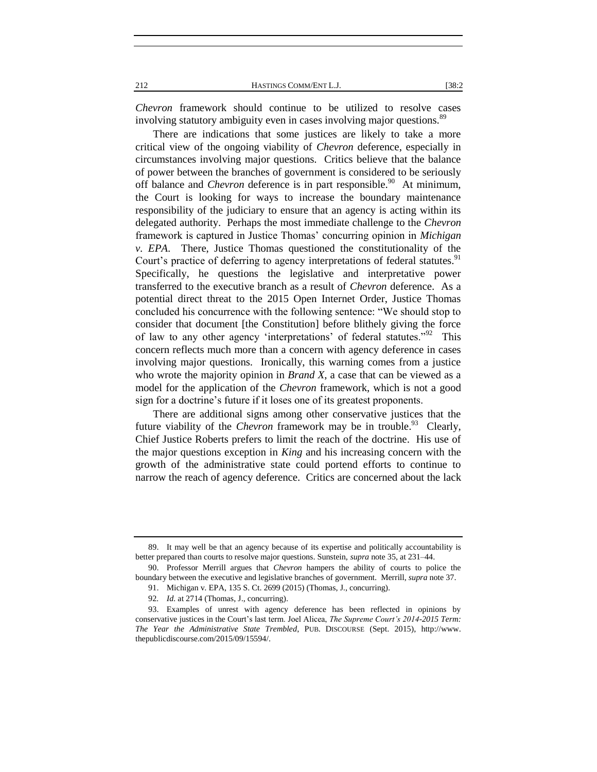*Chevron* framework should continue to be utilized to resolve cases involving statutory ambiguity even in cases involving major questions.<sup>89</sup>

There are indications that some justices are likely to take a more critical view of the ongoing viability of *Chevron* deference, especially in circumstances involving major questions. Critics believe that the balance of power between the branches of government is considered to be seriously off balance and *Chevron* deference is in part responsible.<sup>90</sup> At minimum, the Court is looking for ways to increase the boundary maintenance responsibility of the judiciary to ensure that an agency is acting within its delegated authority. Perhaps the most immediate challenge to the *Chevron* framework is captured in Justice Thomas' concurring opinion in *Michigan v. EPA*. There, Justice Thomas questioned the constitutionality of the Court's practice of deferring to agency interpretations of federal statutes.<sup>91</sup> Specifically, he questions the legislative and interpretative power transferred to the executive branch as a result of *Chevron* deference. As a potential direct threat to the 2015 Open Internet Order, Justice Thomas concluded his concurrence with the following sentence: "We should stop to consider that document [the Constitution] before blithely giving the force of law to any other agency 'interpretations' of federal statutes."<sup>92</sup> This concern reflects much more than a concern with agency deference in cases involving major questions. Ironically, this warning comes from a justice who wrote the majority opinion in *Brand X*, a case that can be viewed as a model for the application of the *Chevron* framework, which is not a good sign for a doctrine's future if it loses one of its greatest proponents.

There are additional signs among other conservative justices that the future viability of the *Chevron* framework may be in trouble.<sup>93</sup> Clearly, Chief Justice Roberts prefers to limit the reach of the doctrine. His use of the major questions exception in *King* and his increasing concern with the growth of the administrative state could portend efforts to continue to narrow the reach of agency deference. Critics are concerned about the lack

<sup>89.</sup> It may well be that an agency because of its expertise and politically accountability is better prepared than courts to resolve major questions. Sunstein, *supra* note 35, at 231–44.

<sup>90.</sup> Professor Merrill argues that *Chevron* hampers the ability of courts to police the boundary between the executive and legislative branches of government. Merrill, *supra* note 37. 91. Michigan v. EPA, 135 S. Ct. 2699 (2015) (Thomas, J., concurring).

<sup>92</sup>*. Id.* at 2714 (Thomas, J., concurring).

<sup>93.</sup> Examples of unrest with agency deference has been reflected in opinions by conservative justices in the Court's last term. Joel Alicea, *The Supreme Court's 2014-2015 Term: The Year the Administrative State Trembled*, PUB. DISCOURSE (Sept. 2015), http://www. thepublicdiscourse.com/2015/09/15594/.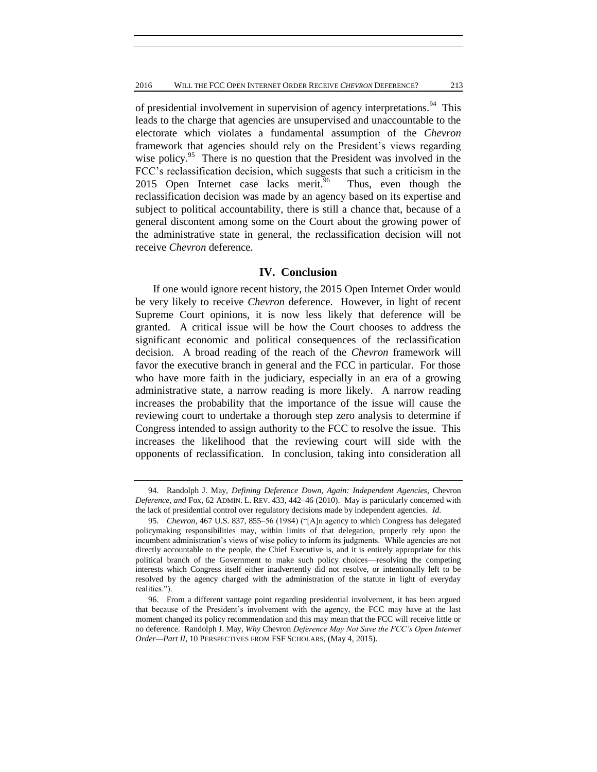of presidential involvement in supervision of agency interpretations.<sup>94</sup> This leads to the charge that agencies are unsupervised and unaccountable to the electorate which violates a fundamental assumption of the *Chevron* framework that agencies should rely on the President's views regarding wise policy.<sup>95</sup> There is no question that the President was involved in the FCC's reclassification decision, which suggests that such a criticism in the 2015 Open Internet case lacks merit.<sup>96</sup> Thus, even though the reclassification decision was made by an agency based on its expertise and subject to political accountability, there is still a chance that, because of a general discontent among some on the Court about the growing power of the administrative state in general, the reclassification decision will not receive *Chevron* deference.

#### **IV. Conclusion**

If one would ignore recent history, the 2015 Open Internet Order would be very likely to receive *Chevron* deference. However, in light of recent Supreme Court opinions, it is now less likely that deference will be granted. A critical issue will be how the Court chooses to address the significant economic and political consequences of the reclassification decision. A broad reading of the reach of the *Chevron* framework will favor the executive branch in general and the FCC in particular. For those who have more faith in the judiciary, especially in an era of a growing administrative state, a narrow reading is more likely. A narrow reading increases the probability that the importance of the issue will cause the reviewing court to undertake a thorough step zero analysis to determine if Congress intended to assign authority to the FCC to resolve the issue. This increases the likelihood that the reviewing court will side with the opponents of reclassification. In conclusion, taking into consideration all

<sup>94.</sup> Randolph J. May, *Defining Deference Down, Again: Independent Agencies,* Chevron *Deference, and* Fox, 62 ADMIN. L. REV. 433, 442–46 (2010). May is particularly concerned with the lack of presidential control over regulatory decisions made by independent agencies. *Id.*

<sup>95</sup>*. Chevron*, 467 U.S. 837, 855–56 (1984) ("[A]n agency to which Congress has delegated policymaking responsibilities may, within limits of that delegation, properly rely upon the incumbent administration's views of wise policy to inform its judgments. While agencies are not directly accountable to the people, the Chief Executive is, and it is entirely appropriate for this political branch of the Government to make such policy choices—resolving the competing interests which Congress itself either inadvertently did not resolve, or intentionally left to be resolved by the agency charged with the administration of the statute in light of everyday realities.").

<sup>96.</sup> From a different vantage point regarding presidential involvement, it has been argued that because of the President's involvement with the agency, the FCC may have at the last moment changed its policy recommendation and this may mean that the FCC will receive little or no deference. Randolph J. May, *Why* Chevron *Deference May Not Save the FCC's Open Internet Order—Part II*, 10 PERSPECTIVES FROM FSF SCHOLARS, (May 4, 2015).